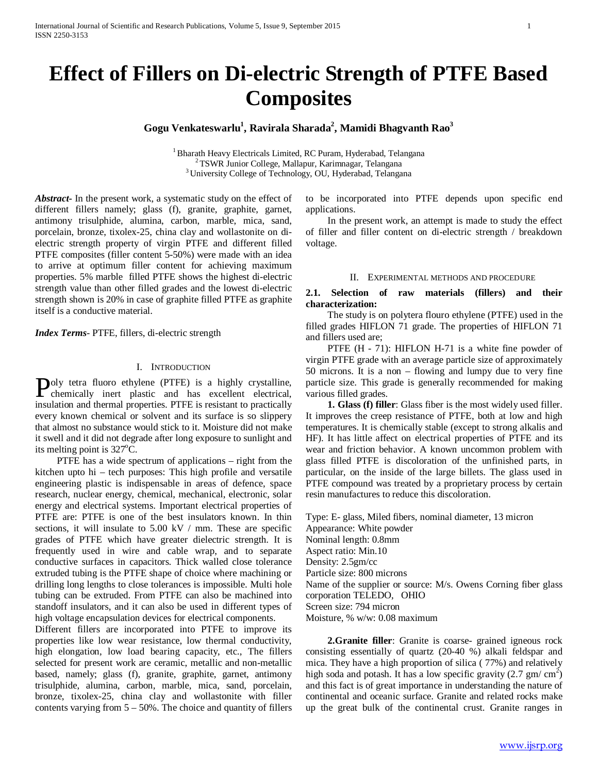# **Effect of Fillers on Di-electric Strength of PTFE Based Composites**

# $G$ ogu Venkateswarlu<sup>1</sup>, Ravirala Sharada<sup>2</sup>, Mamidi Bhagvanth Rao<sup>3</sup>

<sup>1</sup> Bharath Heavy Electricals Limited, RC Puram, Hyderabad, Telangana<br><sup>2</sup> TSWR Junior College, Mallapur, Karimnagar, Telangana<br><sup>3</sup> University College of Technology, OU, Hyderabad, Telangana

*Abstract***-** In the present work, a systematic study on the effect of different fillers namely; glass (f), granite, graphite, garnet, antimony trisulphide, alumina, carbon, marble, mica, sand, porcelain, bronze, tixolex-25, china clay and wollastonite on dielectric strength property of virgin PTFE and different filled PTFE composites (filler content 5-50%) were made with an idea to arrive at optimum filler content for achieving maximum properties. 5% marble filled PTFE shows the highest di-electric strength value than other filled grades and the lowest di-electric strength shown is 20% in case of graphite filled PTFE as graphite itself is a conductive material.

*Index Terms*- PTFE, fillers, di-electric strength

# I. INTRODUCTION

oly tetra fluoro ethylene (PTFE) is a highly crystalline, Poly tetra fluoro ethylene (PTFE) is a highly crystalline,<br>chemically inert plastic and has excellent electrical, insulation and thermal properties. PTFE is resistant to practically every known chemical or solvent and its surface is so slippery that almost no substance would stick to it. Moisture did not make it swell and it did not degrade after long exposure to sunlight and its melting point is  $327^{\circ}$ C.

 PTFE has a wide spectrum of applications – right from the kitchen upto hi – tech purposes: This high profile and versatile engineering plastic is indispensable in areas of defence, space research, nuclear energy, chemical, mechanical, electronic, solar energy and electrical systems. Important electrical properties of PTFE are: PTFE is one of the best insulators known. In thin sections, it will insulate to 5.00 kV / mm. These are specific grades of PTFE which have greater dielectric strength. It is frequently used in wire and cable wrap, and to separate conductive surfaces in capacitors. Thick walled close tolerance extruded tubing is the PTFE shape of choice where machining or drilling long lengths to close tolerances is impossible. Multi hole tubing can be extruded. From PTFE can also be machined into standoff insulators, and it can also be used in different types of high voltage encapsulation devices for electrical components.

Different fillers are incorporated into PTFE to improve its properties like low wear resistance, low thermal conductivity, high elongation, low load bearing capacity, etc., The fillers selected for present work are ceramic, metallic and non-metallic based, namely; glass (f), granite, graphite, garnet, antimony trisulphide, alumina, carbon, marble, mica, sand, porcelain, bronze, tixolex-25, china clay and wollastonite with filler contents varying from  $5 - 50\%$ . The choice and quantity of fillers to be incorporated into PTFE depends upon specific end applications.

 In the present work, an attempt is made to study the effect of filler and filler content on di-electric strength / breakdown voltage.

#### II. EXPERIMENTAL METHODS AND PROCEDURE

# **2.1. Selection of raw materials (fillers) and their characterization:**

 The study is on polytera flouro ethylene (PTFE) used in the filled grades HIFLON 71 grade. The properties of HIFLON 71 and fillers used are;

PTFE (H - 71): HIFLON H-71 is a white fine powder of virgin PTFE grade with an average particle size of approximately 50 microns. It is a non – flowing and lumpy due to very fine particle size. This grade is generally recommended for making various filled grades.

 **1. Glass (f) filler**: Glass fiber is the most widely used filler. It improves the creep resistance of PTFE, both at low and high temperatures. It is chemically stable (except to strong alkalis and HF). It has little affect on electrical properties of PTFE and its wear and friction behavior. A known uncommon problem with glass filled PTFE is discoloration of the unfinished parts, in particular, on the inside of the large billets. The glass used in PTFE compound was treated by a proprietary process by certain resin manufactures to reduce this discoloration.

Type: E- glass, Miled fibers, nominal diameter, 13 micron Appearance: White powder Nominal length: 0.8mm Aspect ratio: Min.10 Density: 2.5gm/cc Particle size: 800 microns Name of the supplier or source: M/s. Owens Corning fiber glass corporation TELEDO, OHIO Screen size: 794 micron Moisture, % w/w: 0.08 maximum

 **2.Granite filler**: Granite is coarse- grained igneous rock consisting essentially of quartz (20-40 %) alkali feldspar and mica. They have a high proportion of silica ( 77%) and relatively high soda and potash. It has a low specific gravity  $(2.7 \text{ gm/cm}^2)$ and this fact is of great importance in understanding the nature of continental and oceanic surface. Granite and related rocks make up the great bulk of the continental crust. Granite ranges in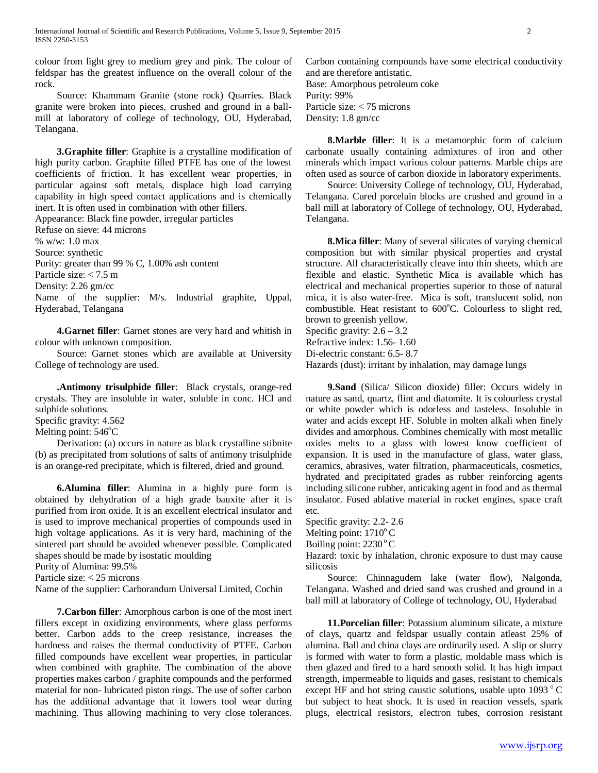colour from light grey to medium grey and pink. The colour of feldspar has the greatest influence on the overall colour of the rock.

 Source: Khammam Granite (stone rock) Quarries. Black granite were broken into pieces, crushed and ground in a ballmill at laboratory of college of technology, OU, Hyderabad, Telangana.

 **3.Graphite filler**: Graphite is a crystalline modification of high purity carbon. Graphite filled PTFE has one of the lowest coefficients of friction. It has excellent wear properties, in particular against soft metals, displace high load carrying capability in high speed contact applications and is chemically inert. It is often used in combination with other fillers.

Appearance: Black fine powder, irregular particles Refuse on sieve: 44 microns % w/w: 1.0 max Source: synthetic Purity: greater than 99 % C, 1.00% ash content Particle size: < 7.5 m Density: 2.26 gm/cc Name of the supplier: M/s. Industrial graphite, Uppal, Hyderabad, Telangana

 **4.Garnet filler**: Garnet stones are very hard and whitish in colour with unknown composition.

 Source: Garnet stones which are available at University College of technology are used.

 **.Antimony trisulphide filler**: Black crystals, orange-red crystals. They are insoluble in water, soluble in conc. HCl and sulphide solutions.

Specific gravity: 4.562

Melting point: 546°C

 Derivation: (a) occurs in nature as black crystalline stibnite (b) as precipitated from solutions of salts of antimony trisulphide is an orange-red precipitate, which is filtered, dried and ground.

 **6.Alumina filler**: Alumina in a highly pure form is obtained by dehydration of a high grade bauxite after it is purified from iron oxide. It is an excellent electrical insulator and is used to improve mechanical properties of compounds used in high voltage applications. As it is very hard, machining of the sintered part should be avoided whenever possible. Complicated shapes should be made by isostatic moulding

Purity of Alumina: 99.5%

Particle size: < 25 microns

Name of the supplier: Carborandum Universal Limited, Cochin

 **7.Carbon filler**: Amorphous carbon is one of the most inert fillers except in oxidizing environments, where glass performs better. Carbon adds to the creep resistance, increases the hardness and raises the thermal conductivity of PTFE. Carbon filled compounds have excellent wear properties, in particular when combined with graphite. The combination of the above properties makes carbon / graphite compounds and the performed material for non- lubricated piston rings. The use of softer carbon has the additional advantage that it lowers tool wear during machining. Thus allowing machining to very close tolerances. Carbon containing compounds have some electrical conductivity and are therefore antistatic. Base: Amorphous petroleum coke Purity: 99% Particle size: < 75 microns Density: 1.8 gm/cc

 **8.Marble filler**: It is a metamorphic form of calcium carbonate usually containing admixtures of iron and other minerals which impact various colour patterns. Marble chips are often used as source of carbon dioxide in laboratory experiments.

 Source: University College of technology, OU, Hyderabad, Telangana. Cured porcelain blocks are crushed and ground in a ball mill at laboratory of College of technology, OU, Hyderabad, Telangana.

 **8.Mica filler**: Many of several silicates of varying chemical composition but with similar physical properties and crystal structure. All characteristically cleave into thin sheets, which are flexible and elastic. Synthetic Mica is available which has electrical and mechanical properties superior to those of natural mica, it is also water-free. Mica is soft, translucent solid, non combustible. Heat resistant to 600°C. Colourless to slight red, brown to greenish yellow.

Specific gravity:  $2.6 - 3.2$ 

Refractive index: 1.56- 1.60

Di-electric constant: 6.5- 8.7

Hazards (dust): irritant by inhalation, may damage lungs

 **9.Sand** (Silica/ Silicon dioxide) filler: Occurs widely in nature as sand, quartz, flint and diatomite. It is colourless crystal or white powder which is odorless and tasteless. Insoluble in water and acids except HF. Soluble in molten alkali when finely divides and amorphous. Combines chemically with most metallic oxides melts to a glass with lowest know coefficient of expansion. It is used in the manufacture of glass, water glass, ceramics, abrasives, water filtration, pharmaceuticals, cosmetics, hydrated and precipitated grades as rubber reinforcing agents including silicone rubber, anticaking agent in food and as thermal insulator. Fused ablative material in rocket engines, space craft etc.

Specific gravity: 2.2- 2.6 Melting point:  $1710^{\circ}$  C

Boiling point:  $2230^{\circ}$ C

Hazard: toxic by inhalation, chronic exposure to dust may cause silicosis

 Source: Chinnagudem lake (water flow), Nalgonda, Telangana. Washed and dried sand was crushed and ground in a ball mill at laboratory of College of technology, OU, Hyderabad

 **11.Porcelian filler**: Potassium aluminum silicate, a mixture of clays, quartz and feldspar usually contain atleast 25% of alumina. Ball and china clays are ordinarily used. A slip or slurry is formed with water to form a plastic, moldable mass which is then glazed and fired to a hard smooth solid. It has high impact strength, impermeable to liquids and gases, resistant to chemicals except HF and hot string caustic solutions, usable upto  $1093 \degree C$ but subject to heat shock. It is used in reaction vessels, spark plugs, electrical resistors, electron tubes, corrosion resistant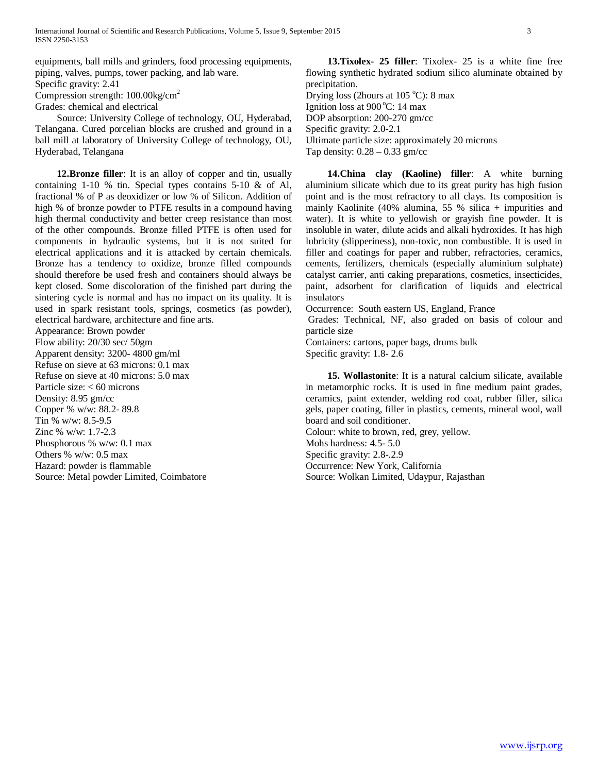equipments, ball mills and grinders, food processing equipments, piping, valves, pumps, tower packing, and lab ware. Specific gravity: 2.41

Compression strength: 100.00kg/cm2

Grades: chemical and electrical

 Source: University College of technology, OU, Hyderabad, Telangana. Cured porcelian blocks are crushed and ground in a ball mill at laboratory of University College of technology, OU, Hyderabad, Telangana

 **12.Bronze filler**: It is an alloy of copper and tin, usually containing 1-10 % tin. Special types contains 5-10 & of Al, fractional % of P as deoxidizer or low % of Silicon. Addition of high % of bronze powder to PTFE results in a compound having high thermal conductivity and better creep resistance than most of the other compounds. Bronze filled PTFE is often used for components in hydraulic systems, but it is not suited for electrical applications and it is attacked by certain chemicals. Bronze has a tendency to oxidize, bronze filled compounds should therefore be used fresh and containers should always be kept closed. Some discoloration of the finished part during the sintering cycle is normal and has no impact on its quality. It is used in spark resistant tools, springs, cosmetics (as powder), electrical hardware, architecture and fine arts.

Appearance: Brown powder Flow ability: 20/30 sec/ 50gm Apparent density: 3200- 4800 gm/ml Refuse on sieve at 63 microns: 0.1 max Refuse on sieve at 40 microns: 5.0 max Particle size: < 60 microns Density: 8.95 gm/cc Copper % w/w: 88.2- 89.8 Tin % w/w: 8.5-9.5 Zinc % w/w: 1.7-2.3 Phosphorous % w/w: 0.1 max Others % w/w: 0.5 max Hazard: powder is flammable Source: Metal powder Limited, Coimbatore

 **13.Tixolex- 25 filler**: Tixolex- 25 is a white fine free flowing synthetic hydrated sodium silico aluminate obtained by precipitation.

Drying loss (2hours at 105 °C): 8 max Ignition loss at 900 °C: 14 max DOP absorption: 200-270 gm/cc Specific gravity: 2.0-2.1 Ultimate particle size: approximately 20 microns

Tap density:  $0.28 - 0.33$  gm/cc

 **14.China clay (Kaoline) filler**: A white burning aluminium silicate which due to its great purity has high fusion point and is the most refractory to all clays. Its composition is mainly Kaolinite (40% alumina, 55 % silica + impurities and water). It is white to yellowish or grayish fine powder. It is insoluble in water, dilute acids and alkali hydroxides. It has high lubricity (slipperiness), non-toxic, non combustible. It is used in filler and coatings for paper and rubber, refractories, ceramics, cements, fertilizers, chemicals (especially aluminium sulphate) catalyst carrier, anti caking preparations, cosmetics, insecticides, paint, adsorbent for clarification of liquids and electrical insulators

Occurrence: South eastern US, England, France

Grades: Technical, NF, also graded on basis of colour and particle size

Containers: cartons, paper bags, drums bulk Specific gravity: 1.8- 2.6

 **15. Wollastonite**: It is a natural calcium silicate, available in metamorphic rocks. It is used in fine medium paint grades, ceramics, paint extender, welding rod coat, rubber filler, silica gels, paper coating, filler in plastics, cements, mineral wool, wall board and soil conditioner.

Colour: white to brown, red, grey, yellow. Mohs hardness: 4.5- 5.0 Specific gravity: 2.8-.2.9 Occurrence: New York, California Source: Wolkan Limited, Udaypur, Rajasthan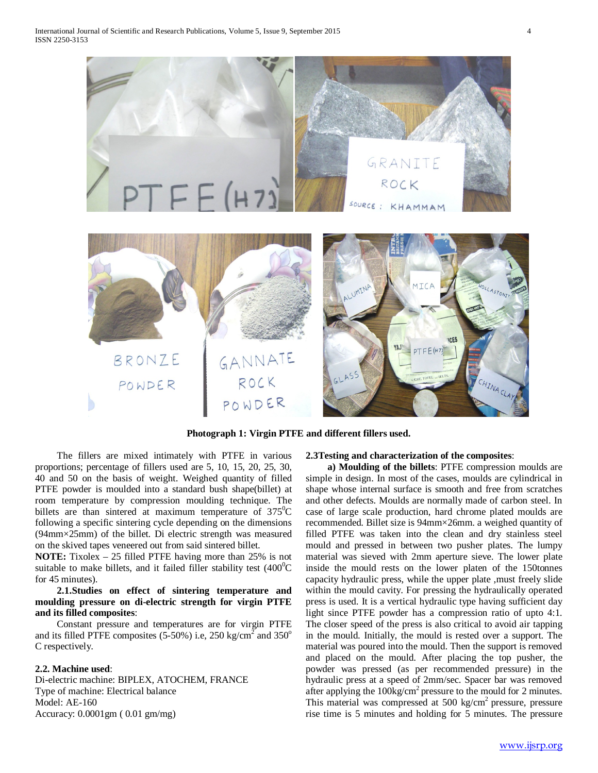

**Photograph 1: Virgin PTFE and different fillers used.** 

 The fillers are mixed intimately with PTFE in various proportions; percentage of fillers used are 5, 10, 15, 20, 25, 30, 40 and 50 on the basis of weight. Weighed quantity of filled PTFE powder is moulded into a standard bush shape(billet) at room temperature by compression moulding technique. The billets are than sintered at maximum temperature of  $375^{\circ}$ C following a specific sintering cycle depending on the dimensions (94mm×25mm) of the billet. Di electric strength was measured on the skived tapes veneered out from said sintered billet.

**NOTE:** Tixolex – 25 filled PTFE having more than 25% is not suitable to make billets, and it failed filler stability test  $(400^0C)$ for 45 minutes).

 **2.1.Studies on effect of sintering temperature and moulding pressure on di-electric strength for virgin PTFE and its filled composites**:

 Constant pressure and temperatures are for virgin PTFE and its filled PTFE composites (5-50%) i.e, 250 kg/cm<sup>2</sup> and 350<sup>o</sup> C respectively.

### **2.2. Machine used**:

Di-electric machine: BIPLEX, ATOCHEM, FRANCE Type of machine: Electrical balance Model: AE-160 Accuracy: 0.0001gm ( 0.01 gm/mg)

# **2.3Testing and characterization of the composites**:

 **a) Moulding of the billets**: PTFE compression moulds are simple in design. In most of the cases, moulds are cylindrical in shape whose internal surface is smooth and free from scratches and other defects. Moulds are normally made of carbon steel. In case of large scale production, hard chrome plated moulds are recommended. Billet size is 94mm×26mm. a weighed quantity of filled PTFE was taken into the clean and dry stainless steel mould and pressed in between two pusher plates. The lumpy material was sieved with 2mm aperture sieve. The lower plate inside the mould rests on the lower platen of the 150tonnes capacity hydraulic press, while the upper plate ,must freely slide within the mould cavity. For pressing the hydraulically operated press is used. It is a vertical hydraulic type having sufficient day light since PTFE powder has a compression ratio of upto 4:1. The closer speed of the press is also critical to avoid air tapping in the mould. Initially, the mould is rested over a support. The material was poured into the mould. Then the support is removed and placed on the mould. After placing the top pusher, the powder was pressed (as per recommended pressure) in the hydraulic press at a speed of 2mm/sec. Spacer bar was removed after applying the  $100\text{kg/cm}^2$  pressure to the mould for 2 minutes. This material was compressed at  $500 \text{ kg/cm}^2$  pressure, pressure rise time is 5 minutes and holding for 5 minutes. The pressure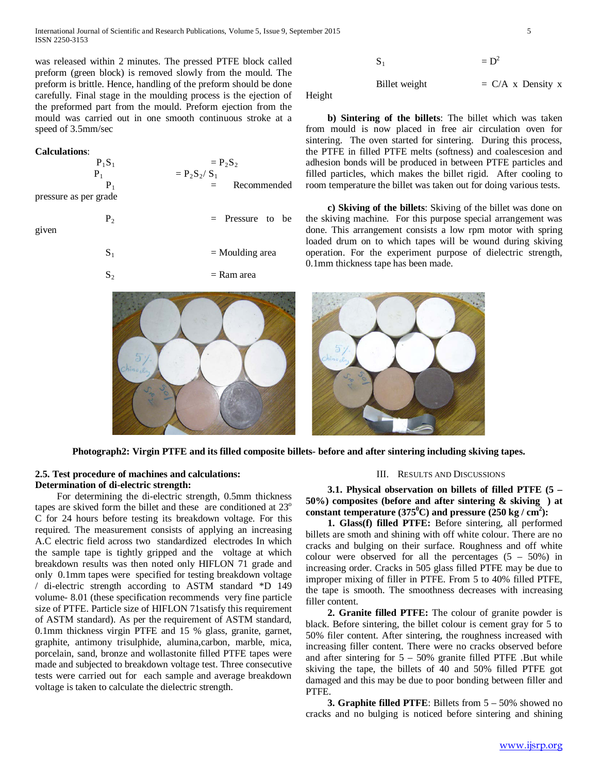International Journal of Scientific and Research Publications, Volume 5, Issue 9, September 2015 5 ISSN 2250-3153

was released within 2 minutes. The pressed PTFE block called preform (green block) is removed slowly from the mould. The preform is brittle. Hence, handling of the preform should be done carefully. Final stage in the moulding process is the ejection of the preformed part from the mould. Preform ejection from the mould was carried out in one smooth continuous stroke at a speed of 3.5mm/sec

#### **Calculations**:

| $P_1S_1$              | $= P_{2}S_{2}$       |  |  |  |
|-----------------------|----------------------|--|--|--|
|                       | $= P_{2}S_{2}/S_{1}$ |  |  |  |
|                       | Recommended<br>$=$   |  |  |  |
| pressure as per grade |                      |  |  |  |

given

| $P_2$ | $=$ Pressure to be |
|-------|--------------------|
| $S_1$ | $=$ Moulding area  |
| $S_2$ | $=$ Ram area       |



$$
S_1 = D^2
$$

Billet weight  $= C/A$  x Density x

Height

 **b) Sintering of the billets**: The billet which was taken from mould is now placed in free air circulation oven for sintering. The oven started for sintering. During this process, the PTFE in filled PTFE melts (softness) and coalescesion and adhesion bonds will be produced in between PTFE particles and filled particles, which makes the billet rigid. After cooling to room temperature the billet was taken out for doing various tests.

 **c) Skiving of the billets**: Skiving of the billet was done on the skiving machine. For this purpose special arrangement was done. This arrangement consists a low rpm motor with spring loaded drum on to which tapes will be wound during skiving operation. For the experiment purpose of dielectric strength, 0.1mm thickness tape has been made.



**Photograph2: Virgin PTFE and its filled composite billets- before and after sintering including skiving tapes.**

## **2.5. Test procedure of machines and calculations: Determination of di-electric strength:**

 For determining the di-electric strength, 0.5mm thickness tapes are skived form the billet and these are conditioned at 23<sup>o</sup> C for 24 hours before testing its breakdown voltage. For this required. The measurement consists of applying an increasing A.C electric field across two standardized electrodes In which the sample tape is tightly gripped and the voltage at which breakdown results was then noted only HIFLON 71 grade and only 0.1mm tapes were specified for testing breakdown voltage / di-electric strength according to ASTM standard \*D 149 volume- 8.01 (these specification recommends very fine particle size of PTFE. Particle size of HIFLON 71satisfy this requirement of ASTM standard). As per the requirement of ASTM standard, 0.1mm thickness virgin PTFE and 15 % glass, granite, garnet, graphite, antimony trisulphide, alumina,carbon, marble, mica, porcelain, sand, bronze and wollastonite filled PTFE tapes were made and subjected to breakdown voltage test. Three consecutive tests were carried out for each sample and average breakdown voltage is taken to calculate the dielectric strength.

#### III. RESULTS AND DISCUSSIONS

 **3.1. Physical observation on billets of filled PTFE (5 – 50%) composites (before and after sintering & skiving ) at**  constant temperature  $(375^{\circ}$ C) and pressure  $(250 \text{ kg} / \text{ cm}^2)$ :

 **1. Glass(f) filled PTFE:** Before sintering, all performed billets are smoth and shining with off white colour. There are no cracks and bulging on their surface. Roughness and off white colour were observed for all the percentages  $(5 - 50\%)$  in increasing order. Cracks in 505 glass filled PTFE may be due to improper mixing of filler in PTFE. From 5 to 40% filled PTFE, the tape is smooth. The smoothness decreases with increasing filler content.

 **2. Granite filled PTFE:** The colour of granite powder is black. Before sintering, the billet colour is cement gray for 5 to 50% filer content. After sintering, the roughness increased with increasing filler content. There were no cracks observed before and after sintering for  $5 - 50\%$  granite filled PTFE .But while skiving the tape, the billets of 40 and 50% filled PTFE got damaged and this may be due to poor bonding between filler and PTFE.

 **3. Graphite filled PTFE**: Billets from 5 – 50% showed no cracks and no bulging is noticed before sintering and shining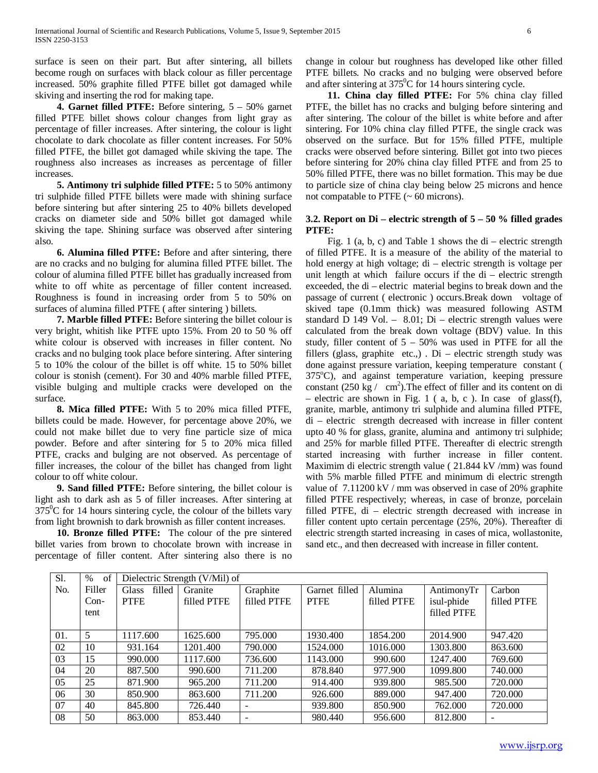surface is seen on their part. But after sintering, all billets become rough on surfaces with black colour as filler percentage increased. 50% graphite filled PTFE billet got damaged while skiving and inserting the rod for making tape.

 **4. Garnet filled PTFE:** Before sintering, 5 – 50% garnet filled PTFE billet shows colour changes from light gray as percentage of filler increases. After sintering, the colour is light chocolate to dark chocolate as filler content increases. For 50% filled PTFE, the billet got damaged while skiving the tape. The roughness also increases as increases as percentage of filler increases.

 **5. Antimony tri sulphide filled PTFE:** 5 to 50% antimony tri sulphide filled PTFE billets were made with shining surface before sintering but after sintering 25 to 40% billets developed cracks on diameter side and 50% billet got damaged while skiving the tape. Shining surface was observed after sintering also.

 **6. Alumina filled PTFE:** Before and after sintering, there are no cracks and no bulging for alumina filled PTFE billet. The colour of alumina filled PTFE billet has gradually increased from white to off white as percentage of filler content increased. Roughness is found in increasing order from 5 to 50% on surfaces of alumina filled PTFE ( after sintering ) billets.

 **7. Marble filled PTFE:** Before sintering the billet colour is very bright, whitish like PTFE upto 15%. From 20 to 50 % off white colour is observed with increases in filler content. No cracks and no bulging took place before sintering. After sintering 5 to 10% the colour of the billet is off white. 15 to 50% billet colour is stonish (cement). For 30 and 40% marble filled PTFE, visible bulging and multiple cracks were developed on the surface.

 **8. Mica filled PTFE:** With 5 to 20% mica filled PTFE, billets could be made. However, for percentage above 20%, we could not make billet due to very fine particle size of mica powder. Before and after sintering for 5 to 20% mica filled PTFE, cracks and bulging are not observed. As percentage of filler increases, the colour of the billet has changed from light colour to off white colour.

 **9. Sand filled PTFE:** Before sintering, the billet colour is light ash to dark ash as 5 of filler increases. After sintering at  $375^{\circ}$ C for 14 hours sintering cycle, the colour of the billets vary from light brownish to dark brownish as filler content increases.

 **10. Bronze filled PTFE:** The colour of the pre sintered billet varies from brown to chocolate brown with increase in percentage of filler content. After sintering also there is no change in colour but roughness has developed like other filled PTFE billets. No cracks and no bulging were observed before and after sintering at  $375^{\circ}$ C for 14 hours sintering cycle.

 **11. China clay filled PTFE:** For 5% china clay filled PTFE, the billet has no cracks and bulging before sintering and after sintering. The colour of the billet is white before and after sintering. For 10% china clay filled PTFE, the single crack was observed on the surface. But for 15% filled PTFE, multiple cracks were observed before sintering. Billet got into two pieces before sintering for 20% china clay filled PTFE and from 25 to 50% filled PTFE, there was no billet formation. This may be due to particle size of china clay being below 25 microns and hence not compatable to PTFE  $(-60 \text{ microns})$ .

# **3.2. Report on Di – electric strength of 5 – 50 % filled grades PTFE:**

Fig. 1 (a, b, c) and Table 1 shows the  $di$  – electric strength of filled PTFE. It is a measure of the ability of the material to hold energy at high voltage; di – electric strength is voltage per unit length at which failure occurs if the di – electric strength exceeded, the di – electric material begins to break down and the passage of current ( electronic ) occurs.Break down voltage of skived tape (0.1mm thick) was measured following ASTM standard D 149 Vol. – 8.01; Di – electric strength values were calculated from the break down voltage (BDV) value. In this study, filler content of  $5 - 50\%$  was used in PTFE for all the fillers (glass, graphite etc.,)  $\overrightarrow{Di}$  – electric strength study was done against pressure variation, keeping temperature constant ( 375°C), and against temperature variation, keeping pressure constant  $(250 \text{ kg} / \text{ cm}^2)$ . The effect of filler and its content on di – electric are shown in Fig. 1 ( a, b, c ). In case of glass(f), granite, marble, antimony tri sulphide and alumina filled PTFE, di – electric strength decreased with increase in filler content upto 40 % for glass, granite, alumina and antimony tri sulphide; and 25% for marble filled PTFE. Thereafter di electric strength started increasing with further increase in filler content. Maximim di electric strength value ( 21.844 kV /mm) was found with 5% marble filled PTFE and minimum di electric strength value of 7.11200 kV / mm was observed in case of 20% graphite filled PTFE respectively; whereas, in case of bronze, porcelain filled PTFE, di – electric strength decreased with increase in filler content upto certain percentage (25%, 20%). Thereafter di electric strength started increasing in cases of mica, wollastonite, sand etc., and then decreased with increase in filler content.

| Sl. | of<br>$\%$ | Dielectric Strength (V/Mil) of |             |                          |               |             |             |                          |
|-----|------------|--------------------------------|-------------|--------------------------|---------------|-------------|-------------|--------------------------|
| No. | Filler     | filled<br><b>Glass</b>         | Granite     | Graphite                 | Garnet filled | Alumina     | AntimonyTr  | Carbon                   |
|     | $Con-$     | <b>PTFE</b>                    | filled PTFE | filled PTFE              | <b>PTFE</b>   | filled PTFE | isul-phide  | filled PTFE              |
|     | tent       |                                |             |                          |               |             | filled PTFE |                          |
|     |            |                                |             |                          |               |             |             |                          |
| 01. | 5          | 1117.600                       | 1625.600    | 795.000                  | 1930.400      | 1854.200    | 2014.900    | 947.420                  |
| 02  | 10         | 931.164                        | 1201.400    | 790.000                  | 1524.000      | 1016.000    | 1303.800    | 863.600                  |
| 03  | 15         | 990.000                        | 1117.600    | 736.600                  | 1143.000      | 990.600     | 1247.400    | 769.600                  |
| 04  | 20         | 887.500                        | 990.600     | 711.200                  | 878.840       | 977.900     | 1099.800    | 740.000                  |
| 05  | 25         | 871.900                        | 965.200     | 711.200                  | 914.400       | 939.800     | 985.500     | 720.000                  |
| 06  | 30         | 850.900                        | 863.600     | 711.200                  | 926.600       | 889.000     | 947.400     | 720.000                  |
| 07  | 40         | 845.800                        | 726.440     | $\overline{\phantom{0}}$ | 939.800       | 850.900     | 762.000     | 720.000                  |
| 08  | 50         | 863,000                        | 853.440     | -                        | 980.440       | 956.600     | 812.800     | $\overline{\phantom{0}}$ |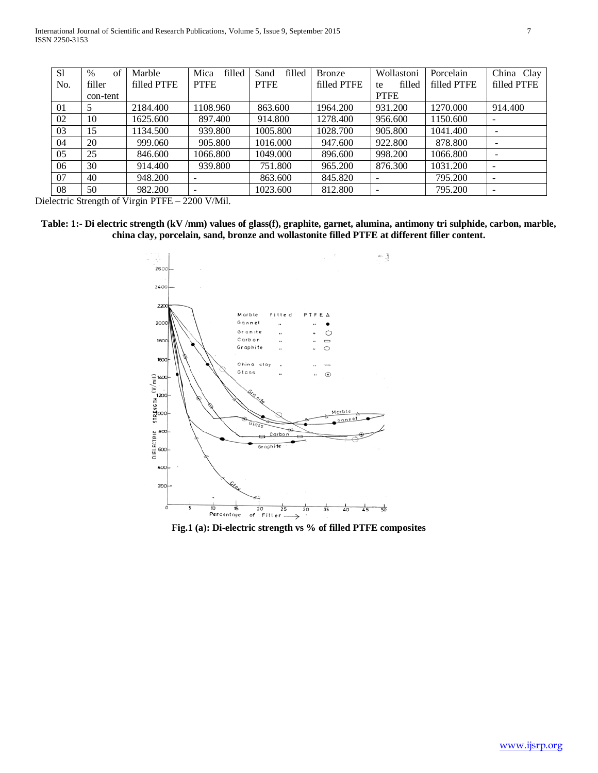| <sub>S1</sub> | of<br>$\%$ | Marble      | Mica<br>filled | filled<br>Sand | <b>Bronze</b> | Wollastoni               | Porcelain   | China Clay               |
|---------------|------------|-------------|----------------|----------------|---------------|--------------------------|-------------|--------------------------|
| No.           | filler     | filled PTFE | <b>PTFE</b>    | <b>PTFE</b>    | filled PTFE   | filled<br>te             | filled PTFE | filled PTFE              |
|               | con-tent   |             |                |                |               | <b>PTFE</b>              |             |                          |
| 01            |            | 2184.400    | 1108.960       | 863.600        | 1964.200      | 931.200                  | 1270.000    | 914.400                  |
| 02            | 10         | 1625.600    | 897.400        | 914.800        | 1278.400      | 956.600                  | 1150.600    | $\overline{\phantom{a}}$ |
| 03            | 15         | 1134.500    | 939.800        | 1005.800       | 1028.700      | 905.800                  | 1041.400    |                          |
| 04            | 20         | 999.060     | 905.800        | 1016.000       | 947.600       | 922.800                  | 878.800     |                          |
| 05            | 25         | 846.600     | 1066.800       | 1049.000       | 896.600       | 998.200                  | 1066.800    |                          |
| 06            | 30         | 914.400     | 939.800        | 751.800        | 965.200       | 876.300                  | 1031.200    | $\overline{\phantom{0}}$ |
| 07            | 40         | 948.200     |                | 863.600        | 845.820       | $\overline{\phantom{0}}$ | 795.200     | $\overline{\phantom{a}}$ |
| 08            | 50         | 982.200     |                | 1023.600       | 812.800       |                          | 795.200     |                          |

Dielectric Strength of Virgin PTFE – 2200 V/Mil.

**Table: 1:- Di electric strength (kV /mm) values of glass(f), graphite, garnet, alumina, antimony tri sulphide, carbon, marble, china clay, porcelain, sand, bronze and wollastonite filled PTFE at different filler content.**



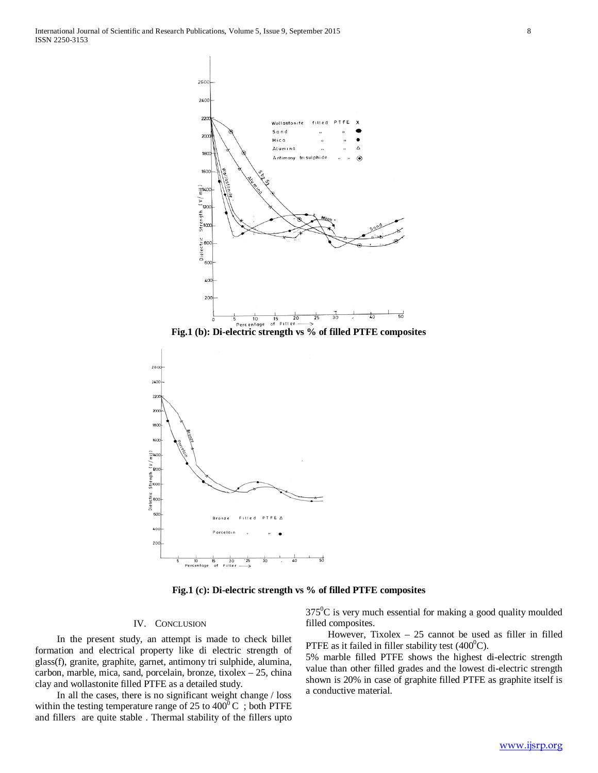

**Fig.1 (b): Di-electric strength vs % of filled PTFE composites**



**Fig.1 (c): Di-electric strength vs % of filled PTFE composites**

### IV. CONCLUSION

 In the present study, an attempt is made to check billet formation and electrical property like di electric strength of glass(f), granite, graphite, garnet, antimony tri sulphide, alumina, carbon, marble, mica, sand, porcelain, bronze, tixolex – 25, china clay and wollastonite filled PTFE as a detailed study.

 In all the cases, there is no significant weight change / loss within the testing temperature range of 25 to  $400^{\circ}$ C; both PTFE and fillers are quite stable . Thermal stability of the fillers upto

 $375^0$ C is very much essential for making a good quality moulded filled composites.

 However, Tixolex – 25 cannot be used as filler in filled PTFE as it failed in filler stability test  $(400^0C)$ .

5% marble filled PTFE shows the highest di-electric strength value than other filled grades and the lowest di-electric strength shown is 20% in case of graphite filled PTFE as graphite itself is a conductive material.